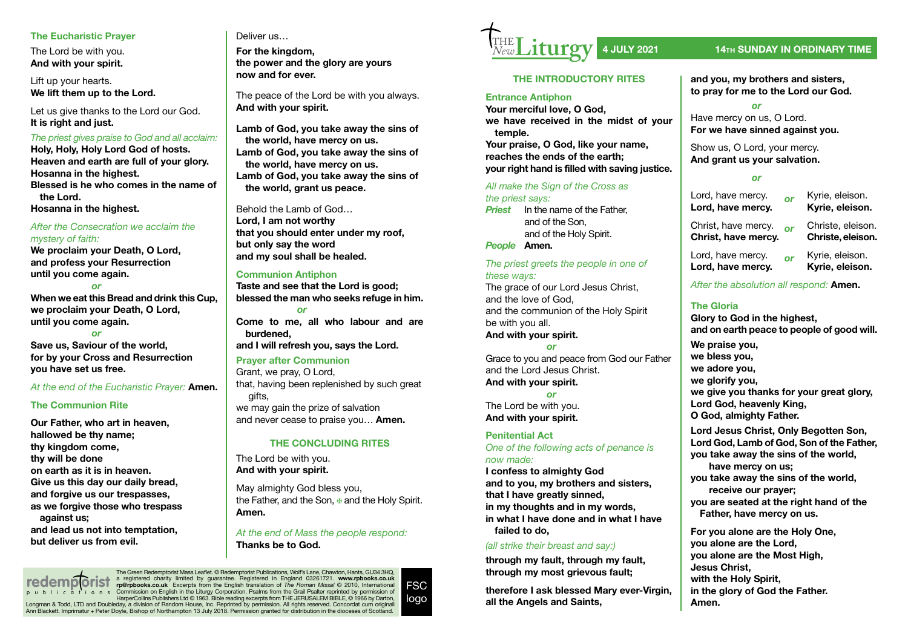### **The Eucharistic Prayer**

The Lord be with you. **And with your spirit.**

Lift up your hearts. **We lift them up to the Lord.**

Let us give thanks to the Lord our God. **It is right and just.**

### *The priest gives praise to God and all acclaim:*

**Holy, Holy, Holy Lord God of hosts. Heaven and earth are full of your glory. Hosanna in the highest. Blessed is he who comes in the name of the Lord. Hosanna in the highest.**

### *After the Consecration we acclaim the mystery of faith:*

**We proclaim your Death, O Lord, and profess your Resurrection until you come again.**

#### *or*

**When we eat this Bread and drink this Cup, we proclaim your Death, O Lord, until you come again.**

### *or*

**Save us, Saviour of the world, for by your Cross and Resurrection you have set us free.**

### *At the end of the Eucharistic Prayer:* **Amen.**

### **The Communion Rite**

**Our Father, who art in heaven, hallowed be thy name; thy kingdom come, thy will be done on earth as it is in heaven. Give us this day our daily bread, and forgive us our trespasses, as we forgive those who trespass against us; and lead us not into temptation, but deliver us from evil.**

# Deliver us…

**For the kingdom, the power and the glory are yours now and for ever.**

The peace of the Lord be with you always. **And with your spirit.**

**Lamb of God, you take away the sins of the world, have mercy on us. Lamb of God, you take away the sins of the world, have mercy on us. Lamb of God, you take away the sins of the world, grant us peace.**

Behold the Lamb of God… **Lord, I am not worthy that you should enter under my roof, but only say the word and my soul shall be healed.**

### **Communion Antiphon**

**Taste and see that the Lord is good; blessed the man who seeks refuge in him.** *or* **Come to me, all who labour and are burdened, and I will refresh you, says the Lord. Prayer after Communion**

# Grant, we pray, O Lord,

that, having been replenished by such great gifts,

we may gain the prize of salvation and never cease to praise you… **Amen.**

### **THE CONCLUDING RITES**

The Lord be with you. **And with your spirit.**

May almighty God bless you, the Father, and the Son,  $\overline{B}$  and the Holy Spirit. **Amen.**

### *At the end of Mass the people respond:* **Thanks be to God.**

The Green Redemptorist Mass Leafet. © Redemptorist Publications, Wolf's Lane, Chawton, Hants, GU34 3HQ, a registered charity limited by guarantee. Registered in England 03261721. **www.rpbooks.co.uk rp@rpbooks.co.uk** Excerpts from the English translation of *The Roman Missal* © 2010, International Commission on English in the Liturgy Corporation. Psalms from the Grail Psalter reprinted by permission of HarperCollins Publishers Ltd © 1963. Bible reading excerpts from THE JERUSALEM BIBLE, © 1966 by Darton, Longman & Todd, LTD and Doubleday, a division of Random House, Inc. Reprinted by permission. All rights reserved. Concordat cum originali Ann Blackett. Imprimatur + Peter Doyle, Bishop of Northampton 13 July 2018. Permission granted for distribution in the dioceses of Scotland. **redemp orist** publications



### **THE INTRODUCTORY RITES**

### **Entrance Antiphon**

**Your merciful love, O God, we have received in the midst of your temple.**

**Your praise, O God, like your name, reaches the ends of the earth; your right hand is filled with saving justice.** 

### *All make the Sign of the Cross as the priest says:*

*Priest* In the name of the Father, and of the Son, and of the Holy Spirit.

*People* **Amen.**

### *The priest greets the people in one of these ways:*

The grace of our Lord Jesus Christ. and the love of God, and the communion of the Holy Spirit be with you all. **And with your spirit.**

*or*

Grace to you and peace from God our Father and the Lord Jesus Christ. **And with your spirit.**

*or* The Lord be with you. **And with your spirit.**

### **Penitential Act**

*One of the following acts of penance is now made:*

**I confess to almighty God and to you, my brothers and sisters, that I have greatly sinned, in my thoughts and in my words, in what I have done and in what I have failed to do,**

### *(all strike their breast and say:)*

**through my fault, through my fault, through my most grievous fault;**

**therefore I ask blessed Mary ever-Virgin, all the Angels and Saints,**

# **4 JULY 2021 14TH SUNDAY IN ORDINARY TIME**

**and you, my brothers and sisters, to pray for me to the Lord our God.**

#### *or* Have mercy on us, O Lord.

**For we have sinned against you.**

Show us, O Lord, your mercy. **And grant us your salvation.**

## *or*

Lord, have mercy. *or* Kyrie, eleison. Lord, have mercy.

Christ, have mercy. **or** Christe, eleison.<br>**Christ, have mercy. Christe, eleison. Christ, have mercy.** 

Lord, have mercy. **or** Kyrie, eleison.<br>**Lord, have mercy. Kyrie, eleison.** Lord, have mercy.

*After the absolution all respond:* **Amen.**

## **The Gloria**

**Glory to God in the highest, and on earth peace to people of good will. We praise you, we bless you, we adore you, we glorify you, we give you thanks for your great glory,**

**Lord God, heavenly King,**

**O God, almighty Father.**

**Lord Jesus Christ, Only Begotten Son, Lord God, Lamb of God, Son of the Father, you take away the sins of the world, have mercy on us; you take away the sins of the world,**

**receive our prayer; you are seated at the right hand of the Father, have mercy on us.**

**For you alone are the Holy One, you alone are the Lord, you alone are the Most High, Jesus Christ, with the Holy Spirit, in the glory of God the Father. Amen.**

FSC logo